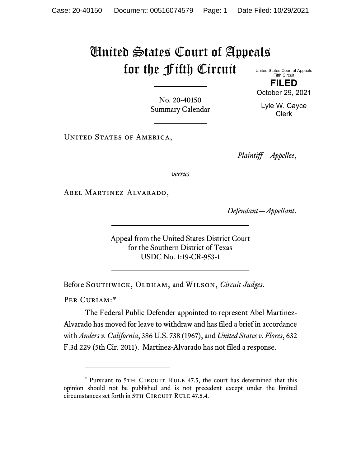## United States Court of Appeals for the Fifth Circuit United States Court of Appeals

Fifth Circuit **FILED** October 29, 2021

Lyle W. Cayce Clerk

No. 20-40150 Summary Calendar

UNITED STATES OF AMERICA,

*Plaintiff—Appellee*,

*versus*

Abel Martinez-Alvarado,

*Defendant—Appellant*.

Appeal from the United States District Court for the Southern District of Texas USDC No. 1:19-CR-953-1

Before SOUTHWICK, OLDHAM, and WILSON, *Circuit Judges*.

PER CURIAM:[\\*](#page-0-0)

The Federal Public Defender appointed to represent Abel Martinez-Alvarado has moved for leave to withdraw and has filed a brief in accordance with *Anders v. California*, 386 U.S. 738 (1967), and *United States v. Flores*, 632 F.3d 229 (5th Cir. 2011). Martinez-Alvarado has not filed a response.

<span id="page-0-0"></span><sup>\*</sup> Pursuant to 5TH CIRCUIT RULE 47.5, the court has determined that this opinion should not be published and is not precedent except under the limited circumstances set forth in 5TH CIRCUIT RULE 47.5.4.